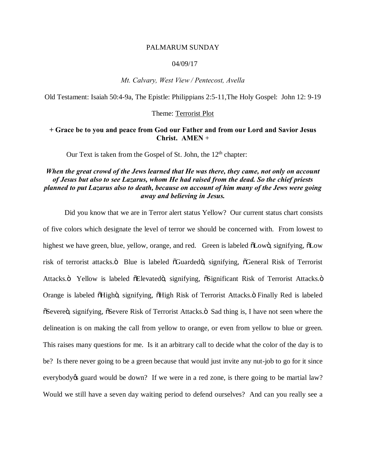## PALMARUM SUNDAY

## 04/09/17

*Mt. Calvary, West View / Pentecost, Avella*

Old Testament: Isaiah 50:4-9a, The Epistle: Philippians 2:5-11,The Holy Gospel: John 12: 9-19

#### Theme: Terrorist Plot

## **+ Grace be to you and peace from God our Father and from our Lord and Savior Jesus Christ. AMEN** +

Our Text is taken from the Gospel of St. John, the  $12<sup>th</sup>$  chapter:

# *When the great crowd of the Jews learned that He was there, they came, not only on account of Jesus but also to see Lazarus, whom He had raised from the dead. So the chief priests planned to put Lazarus also to death, because on account of him many of the Jews were going away and believing in Jesus.*

Did you know that we are in Terror alert status Yellow? Our current status chart consists of five colors which designate the level of terror we should be concerned with. From lowest to highest we have green, blue, yellow, orange, and red. Green is labeled  $\delta$ Lowo, signifying,  $\delta$ Low risk of terrorist attacks. $\ddot{o}$  Blue is labeled  $\ddot{o}$ Guarded $\ddot{o}$ , signifying,  $\ddot{o}$ General Risk of Terrorist Attacks.ö Yellow is labeled öElevatedö, signifying, öSignificant Risk of Terrorist Attacks.ö Orange is labeled õHighö, signifying, õHigh Risk of Terrorist Attacks. Ö Finally Red is labeled  $\tilde{\text{S}}$  Severe $\ddot{\text{o}}$ , signifying,  $\tilde{\text{S}}$  Severe Risk of Terrorist Attacks. $\ddot{\text{o}}$  Sad thing is, I have not seen where the delineation is on making the call from yellow to orange, or even from yellow to blue or green. This raises many questions for me. Is it an arbitrary call to decide what the color of the day is to be? Is there never going to be a green because that would just invite any nut-job to go for it since everybody of guard would be down? If we were in a red zone, is there going to be martial law? Would we still have a seven day waiting period to defend ourselves? And can you really see a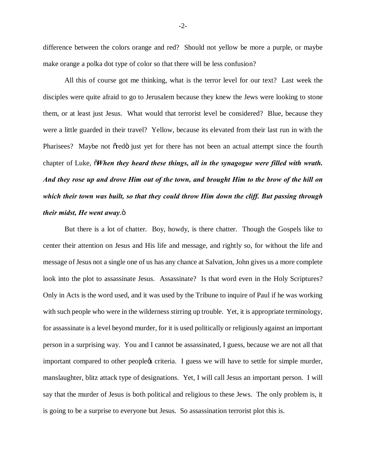difference between the colors orange and red? Should not yellow be more a purple, or maybe make orange a polka dot type of color so that there will be less confusion?

All this of course got me thinking, what is the terror level for our text? Last week the disciples were quite afraid to go to Jerusalem because they knew the Jews were looking to stone them, or at least just Jesus. What would that terrorist level be considered? Blue, because they were a little guarded in their travel? Yellow, because its elevated from their last run in with the Pharisees? Maybe not or red ijust yet for there has not been an actual attempt since the fourth chapter of Luke,  $\tilde{\theta}$ *When they heard these things, all in the synagogue were filled with wrath. And they rose up and drove Him out of the town, and brought Him to the brow of the hill on which their town was built, so that they could throw Him down the cliff. But passing through their midst, He went away.* $\ddot{\text{o}}$ 

But there is a lot of chatter. Boy, howdy, is there chatter. Though the Gospels like to center their attention on Jesus and His life and message, and rightly so, for without the life and message of Jesus not a single one of us has any chance at Salvation, John gives us a more complete look into the plot to assassinate Jesus. Assassinate? Is that word even in the Holy Scriptures? Only in Acts is the word used, and it was used by the Tribune to inquire of Paul if he was working with such people who were in the wilderness stirring up trouble. Yet, it is appropriate terminology, for assassinate is a level beyond murder, for it is used politically or religiously against an important person in a surprising way. You and I cannot be assassinated, I guess, because we are not all that important compared to other people $\alpha$  criteria. I guess we will have to settle for simple murder, manslaughter, blitz attack type of designations. Yet, I will call Jesus an important person. I will say that the murder of Jesus is both political and religious to these Jews. The only problem is, it is going to be a surprise to everyone but Jesus. So assassination terrorist plot this is.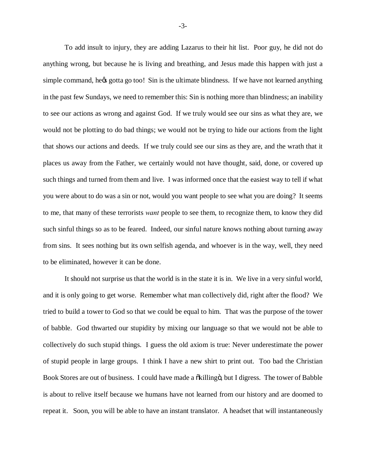To add insult to injury, they are adding Lazarus to their hit list. Poor guy, he did not do anything wrong, but because he is living and breathing, and Jesus made this happen with just a simple command, hegs gotta go too! Sin is the ultimate blindness. If we have not learned anything in the past few Sundays, we need to remember this: Sin is nothing more than blindness; an inability to see our actions as wrong and against God. If we truly would see our sins as what they are, we would not be plotting to do bad things; we would not be trying to hide our actions from the light that shows our actions and deeds. If we truly could see our sins as they are, and the wrath that it places us away from the Father, we certainly would not have thought, said, done, or covered up such things and turned from them and live. I was informed once that the easiest way to tell if what you were about to do was a sin or not, would you want people to see what you are doing? It seems to me, that many of these terrorists *want* people to see them, to recognize them, to know they did such sinful things so as to be feared. Indeed, our sinful nature knows nothing about turning away from sins. It sees nothing but its own selfish agenda, and whoever is in the way, well, they need to be eliminated, however it can be done.

It should not surprise us that the world is in the state it is in. We live in a very sinful world, and it is only going to get worse. Remember what man collectively did, right after the flood? We tried to build a tower to God so that we could be equal to him. That was the purpose of the tower of babble. God thwarted our stupidity by mixing our language so that we would not be able to collectively do such stupid things. I guess the old axiom is true: Never underestimate the power of stupid people in large groups. I think I have a new shirt to print out. Too bad the Christian Book Stores are out of business. I could have made a  $\delta$ killing  $\delta$ , but I digress. The tower of Babble is about to relive itself because we humans have not learned from our history and are doomed to repeat it. Soon, you will be able to have an instant translator. A headset that will instantaneously